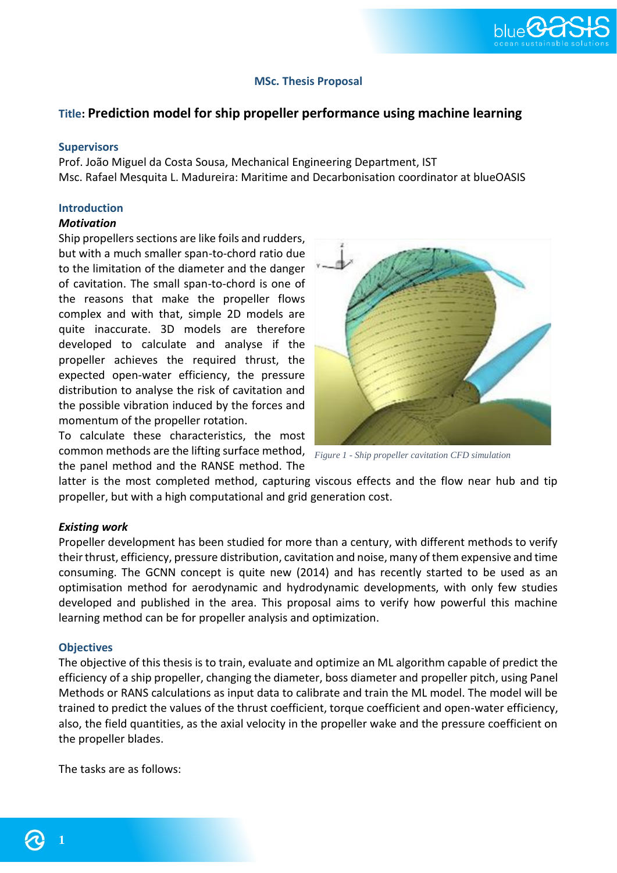

# **MSc. Thesis Proposal**

# **Title: Prediction model for ship propeller performance using machine learning**

### **Supervisors**

Prof. João Miguel da Costa Sousa, Mechanical Engineering Department, IST Msc. Rafael Mesquita L. Madureira: Maritime and Decarbonisation coordinator at blueOASIS

### **Introduction**

# *Motivation*

Ship propellers sections are like foils and rudders, but with a much smaller span-to-chord ratio due to the limitation of the diameter and the danger of cavitation. The small span-to-chord is one of the reasons that make the propeller flows complex and with that, simple 2D models are quite inaccurate. 3D models are therefore developed to calculate and analyse if the propeller achieves the required thrust, the expected open-water efficiency, the pressure distribution to analyse the risk of cavitation and the possible vibration induced by the forces and momentum of the propeller rotation.

To calculate these characteristics, the most common methods are the lifting surface method, *Figure 1 - Ship propeller cavitation CFD simulation*the panel method and the RANSE method. The



latter is the most completed method, capturing viscous effects and the flow near hub and tip propeller, but with a high computational and grid generation cost.

## *Existing work*

Propeller development has been studied for more than a century, with different methods to verify their thrust, efficiency, pressure distribution, cavitation and noise, many of them expensive and time consuming. The GCNN concept is quite new (2014) and has recently started to be used as an optimisation method for aerodynamic and hydrodynamic developments, with only few studies developed and published in the area. This proposal aims to verify how powerful this machine learning method can be for propeller analysis and optimization.

### **Objectives**

The objective of this thesis is to train, evaluate and optimize an ML algorithm capable of predict the efficiency of a ship propeller, changing the diameter, boss diameter and propeller pitch, using Panel Methods or RANS calculations as input data to calibrate and train the ML model. The model will be trained to predict the values of the thrust coefficient, torque coefficient and open-water efficiency, also, the field quantities, as the axial velocity in the propeller wake and the pressure coefficient on the propeller blades.

The tasks are as follows:

**1**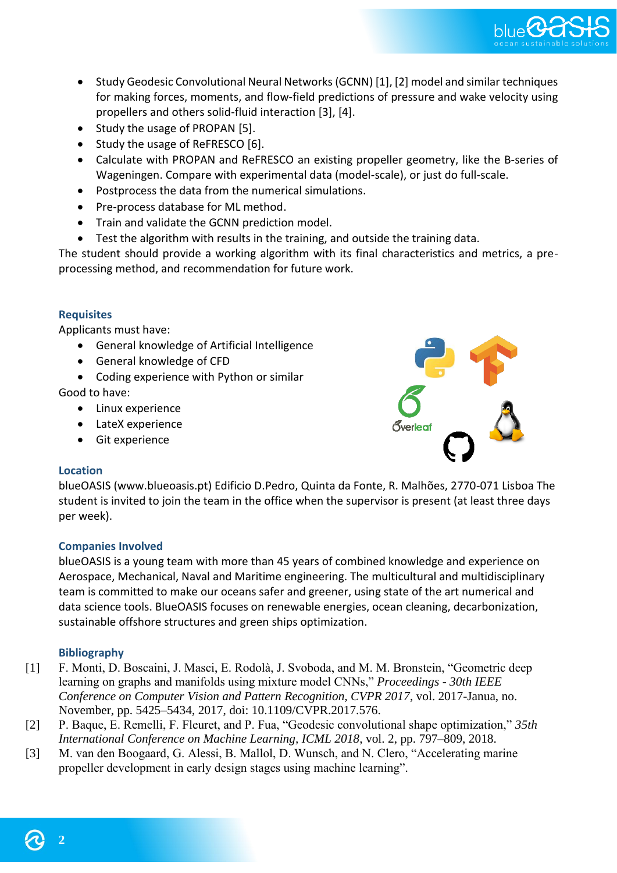

- Study Geodesic Convolutional Neural Networks (GCNN) [1], [2] model and similar techniques for making forces, moments, and flow-field predictions of pressure and wake velocity using propellers and others solid-fluid interaction [3], [4].
- Study the usage of PROPAN [5].
- Study the usage of ReFRESCO [6].
- Calculate with PROPAN and ReFRESCO an existing propeller geometry, like the B-series of Wageningen. Compare with experimental data (model-scale), or just do full-scale.
- Postprocess the data from the numerical simulations.
- Pre-process database for ML method.
- Train and validate the GCNN prediction model.
- Test the algorithm with results in the training, and outside the training data.

The student should provide a working algorithm with its final characteristics and metrics, a preprocessing method, and recommendation for future work.

# **Requisites**

Applicants must have:

- General knowledge of Artificial Intelligence
- General knowledge of CFD
- Coding experience with Python or similar

Good to have:

- Linux experience
- LateX experience
- Git experience

# ,<br>iverleaf

# **Location**

blueOASIS (www.blueoasis.pt) Edificio D.Pedro, Quinta da Fonte, R. Malhões, 2770-071 Lisboa The student is invited to join the team in the office when the supervisor is present (at least three days per week).

# **Companies Involved**

blueOASIS is a young team with more than 45 years of combined knowledge and experience on Aerospace, Mechanical, Naval and Maritime engineering. The multicultural and multidisciplinary team is committed to make our oceans safer and greener, using state of the art numerical and data science tools. BlueOASIS focuses on renewable energies, ocean cleaning, decarbonization, sustainable offshore structures and green ships optimization.

# **Bibliography**

- [1] F. Monti, D. Boscaini, J. Masci, E. Rodolà, J. Svoboda, and M. M. Bronstein, "Geometric deep learning on graphs and manifolds using mixture model CNNs," *Proceedings - 30th IEEE Conference on Computer Vision and Pattern Recognition, CVPR 2017*, vol. 2017-Janua, no. November, pp. 5425–5434, 2017, doi: 10.1109/CVPR.2017.576.
- [2] P. Baque, E. Remelli, F. Fleuret, and P. Fua, "Geodesic convolutional shape optimization," *35th International Conference on Machine Learning, ICML 2018*, vol. 2, pp. 797–809, 2018.
- [3] M. van den Boogaard, G. Alessi, B. Mallol, D. Wunsch, and N. Clero, "Accelerating marine propeller development in early design stages using machine learning".

**2**